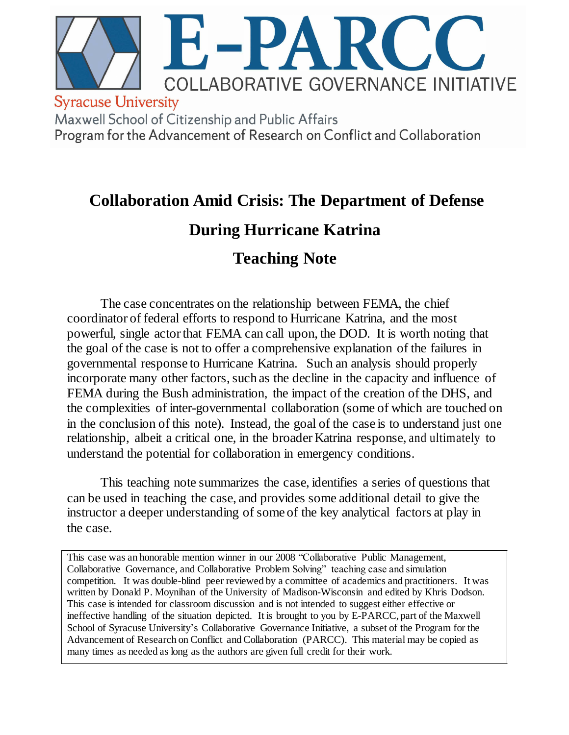

# **Collaboration Amid Crisis: The Department of Defense**

# **During Hurricane Katrina**

# **Teaching Note**

The case concentrates on the relationship between FEMA, the chief coordinator of federal efforts to respond to Hurricane Katrina, and the most powerful, single actor that FEMA can call upon, the DOD. It is worth noting that the goal of the case is not to offer a comprehensive explanation of the failures in governmental response to Hurricane Katrina. Such an analysis should properly incorporate many other factors, such as the decline in the capacity and influence of FEMA during the Bush administration, the impact of the creation of the DHS, and the complexities of inter-governmental collaboration (some of which are touched on in the conclusion of this note). Instead, the goal of the case is to understand just one relationship, albeit a critical one, in the broader Katrina response, and ultimately to understand the potential for collaboration in emergency conditions.

This teaching note summarizes the case, identifies a series of questions that can be used in teaching the case, and provides some additional detail to give the instructor a deeper understanding of some of the key analytical factors at play in the case.

This case was an honorable mention winner in our 2008 "Collaborative Public Management, Collaborative Governance, and Collaborative Problem Solving" teaching case and simulation competition. It was double-blind peer reviewed by a committee of academics and practitioners. It was written by Donald P. Moynihan of the University of Madison-Wisconsin and edited by Khris Dodson. This case is intended for classroom discussion and is not intended to suggest either effective or ineffective handling of the situation depicted. It is brought to you by E-PARCC, part of the Maxwell School of Syracuse University's Collaborative Governance Initiative, a subset of the Program for the Advancement of Research on Conflict and Collaboration (PARCC). This material may be copied as many times as needed as long as the authors are given full credit for their work.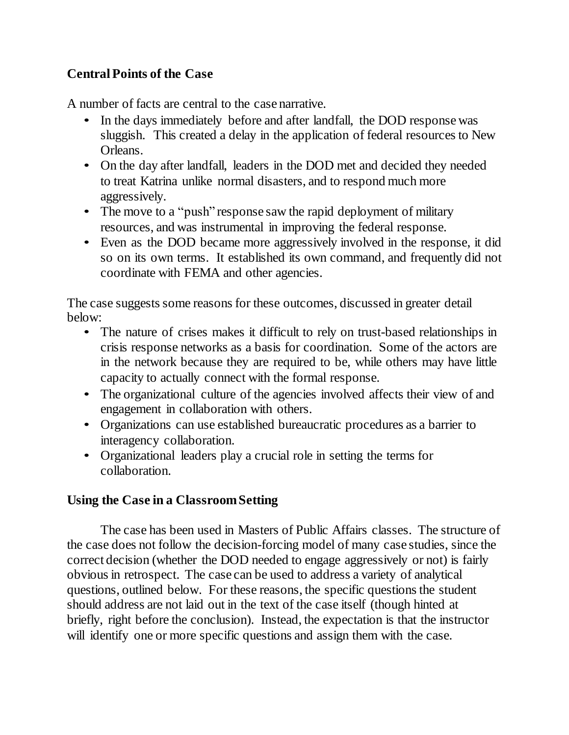# **Central Points of the Case**

A number of facts are central to the case narrative.

- In the days immediately before and after landfall, the DOD response was sluggish. This created a delay in the application of federal resources to New Orleans.
- On the day after landfall, leaders in the DOD met and decided they needed to treat Katrina unlike normal disasters, and to respond much more aggressively.
- The move to a "push" response saw the rapid deployment of military resources, and was instrumental in improving the federal response.
- Even as the DOD became more aggressively involved in the response, it did so on its own terms. It established its own command, and frequently did not coordinate with FEMA and other agencies.

The case suggests some reasons for these outcomes, discussed in greater detail below:

- The nature of crises makes it difficult to rely on trust-based relationships in crisis response networks as a basis for coordination. Some of the actors are in the network because they are required to be, while others may have little capacity to actually connect with the formal response.
- The organizational culture of the agencies involved affects their view of and engagement in collaboration with others.
- Organizations can use established bureaucratic procedures as a barrier to interagency collaboration.
- Organizational leaders play a crucial role in setting the terms for collaboration.

# **Using the Case in a Classroom Setting**

The case has been used in Masters of Public Affairs classes. The structure of the case does not follow the decision-forcing model of many case studies, since the correct decision (whether the DOD needed to engage aggressively or not) is fairly obvious in retrospect. The case can be used to address a variety of analytical questions, outlined below. For these reasons, the specific questions the student should address are not laid out in the text of the case itself (though hinted at briefly, right before the conclusion). Instead, the expectation is that the instructor will identify one or more specific questions and assign them with the case.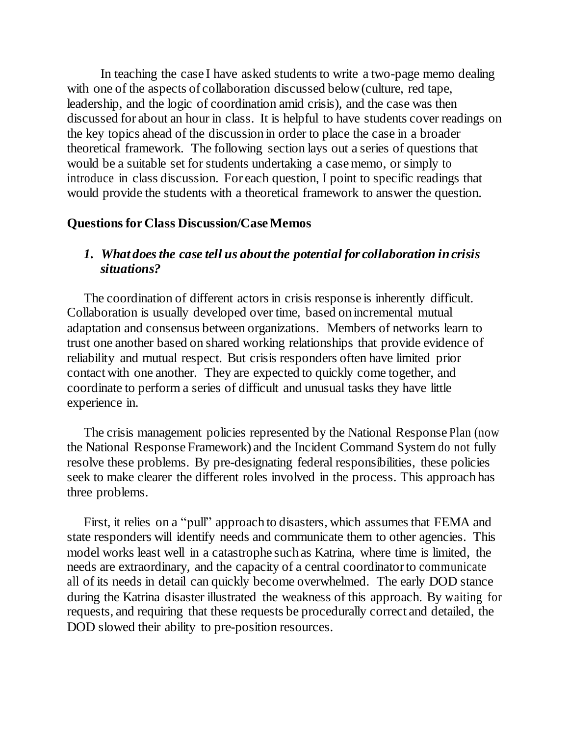In teaching the case I have asked students to write a two-page memo dealing with one of the aspects of collaboration discussed below (culture, red tape, leadership, and the logic of coordination amid crisis), and the case was then discussed for about an hour in class. It is helpful to have students cover readings on the key topics ahead of the discussion in order to place the case in a broader theoretical framework. The following section lays out a series of questions that would be a suitable set for students undertaking a case memo, orsimply to introduce in class discussion. For each question, I point to specific readings that would provide the students with a theoretical framework to answer the question.

#### **Questions for Class Discussion/Case Memos**

#### *1. What does the case tell us about the potential for collaboration in crisis situations?*

The coordination of different actors in crisis response is inherently difficult. Collaboration is usually developed over time, based on incremental mutual adaptation and consensus between organizations. Members of networks learn to trust one another based on shared working relationships that provide evidence of reliability and mutual respect. But crisis responders often have limited prior contact with one another. They are expected to quickly come together, and coordinate to perform a series of difficult and unusual tasks they have little experience in.

The crisis management policies represented by the National Response Plan (now the National Response Framework) and the Incident Command System do not fully resolve these problems. By pre-designating federal responsibilities, these policies seek to make clearer the different roles involved in the process. This approach has three problems.

First, it relies on a "pull" approach to disasters, which assumes that FEMA and state responders will identify needs and communicate them to other agencies. This model works least well in a catastrophe such as Katrina, where time is limited, the needs are extraordinary, and the capacity of a central coordinator to communicate all of its needs in detail can quickly become overwhelmed. The early DOD stance during the Katrina disaster illustrated the weakness of this approach. By waiting for requests, and requiring that these requests be procedurally correct and detailed, the DOD slowed their ability to pre-position resources.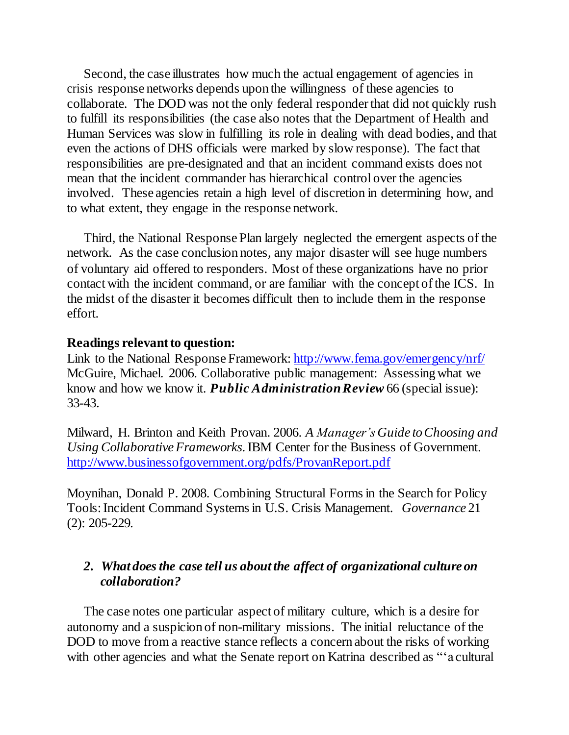Second, the case illustrates how much the actual engagement of agencies in crisis response networks depends upon the willingness of these agencies to collaborate. The DOD was not the only federal responder that did not quickly rush to fulfill its responsibilities (the case also notes that the Department of Health and Human Services was slow in fulfilling its role in dealing with dead bodies, and that even the actions of DHS officials were marked by slow response). The fact that responsibilities are pre-designated and that an incident command exists does not mean that the incident commander has hierarchical control over the agencies involved. These agencies retain a high level of discretion in determining how, and to what extent, they engage in the response network.

Third, the National Response Plan largely neglected the emergent aspects of the network. As the case conclusion notes, any major disaster will see huge numbers of voluntary aid offered to responders. Most of these organizations have no prior contact with the incident command, or are familiar with the concept of the ICS. In the midst of the disaster it becomes difficult then to include them in the response effort.

#### **Readings relevant to question:**

Link to the National Response Framework[: http://www.fema.gov/emergency/nrf/](http://www.fema.gov/emergency/nrf/)  McGuire, Michael. 2006. Collaborative public management: Assessing what we know and how we know it. *Public Administration Review* 66 (special issue): 33-43.

Milward, H. Brinton and Keith Provan. 2006. *A Manager's Guide to Choosing and Using Collaborative Frameworks*. IBM Center for the Business of Government. <http://www.businessofgovernment.org/pdfs/ProvanReport.pdf>

Moynihan, Donald P. 2008. Combining Structural Forms in the Search for Policy Tools: Incident Command Systems in U.S. Crisis Management. *Governance* 21 (2): 205-229*.*

# *2. What does the case tell us about the affect of organizational culture on collaboration?*

The case notes one particular aspect of military culture, which is a desire for autonomy and a suspicion of non-military missions. The initial reluctance of the DOD to move from a reactive stance reflects a concern about the risks of working with other agencies and what the Senate report on Katrina described as "a cultural"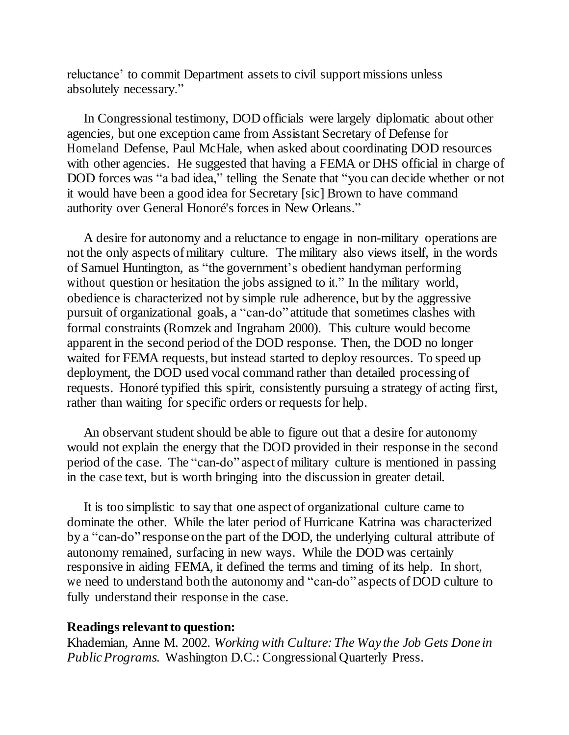reluctance' to commit Department assets to civil support missions unless absolutely necessary."

In Congressional testimony, DOD officials were largely diplomatic about other agencies, but one exception came from Assistant Secretary of Defense for Homeland Defense, Paul McHale, when asked about coordinating DOD resources with other agencies. He suggested that having a FEMA or DHS official in charge of DOD forces was "a bad idea," telling the Senate that "you can decide whether or not it would have been a good idea for Secretary [sic] Brown to have command authority over General Honoré's forces in New Orleans."

A desire for autonomy and a reluctance to engage in non-military operations are not the only aspects of military culture. The military also views itself, in the words of Samuel Huntington, as "the government"s obedient handyman performing without question or hesitation the jobs assigned to it." In the military world, obedience is characterized not by simple rule adherence, but by the aggressive pursuit of organizational goals, a "can-do" attitude that sometimes clashes with formal constraints (Romzek and Ingraham 2000). This culture would become apparent in the second period of the DOD response. Then, the DOD no longer waited for FEMA requests, but instead started to deploy resources. To speed up deployment, the DOD used vocal command rather than detailed processing of requests. Honoré typified this spirit, consistently pursuing a strategy of acting first, rather than waiting for specific orders or requests for help.

An observant student should be able to figure out that a desire for autonomy would not explain the energy that the DOD provided in their response in the second period of the case. The "can-do" aspect of military culture is mentioned in passing in the case text, but is worth bringing into the discussion in greater detail.

It is too simplistic to say that one aspect of organizational culture came to dominate the other. While the later period of Hurricane Katrina was characterized by a "can-do" response on the part of the DOD, the underlying cultural attribute of autonomy remained, surfacing in new ways. While the DOD was certainly responsive in aiding FEMA, it defined the terms and timing of its help. In short, we need to understand both the autonomy and "can-do" aspects of DOD culture to fully understand their response in the case.

#### **Readings relevant to question:**

Khademian, Anne M. 2002. *Working with Culture: The Way the Job Gets Done in Public Programs.* Washington D.C.: Congressional Quarterly Press.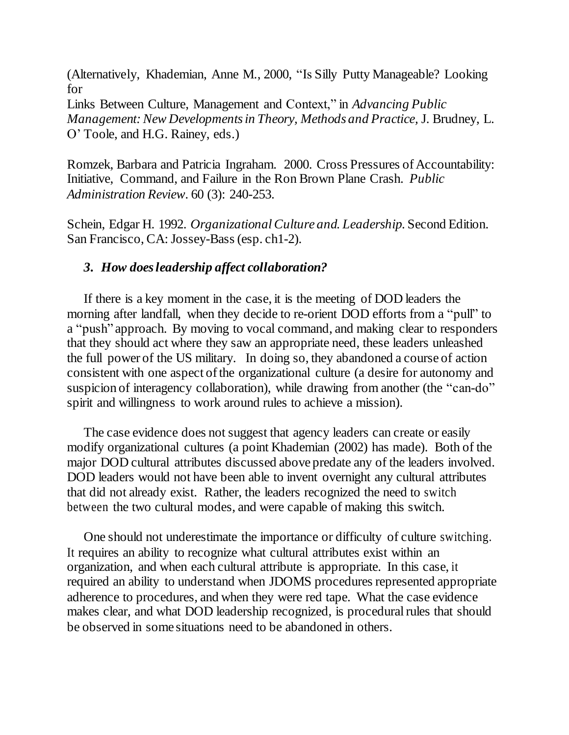(Alternatively, Khademian, Anne M., 2000, "Is Silly Putty Manageable? Looking for

Links Between Culture, Management and Context," in *Advancing Public Management: New Developments in Theory, Methods and Practice,* J. Brudney, L. O" Toole, and H.G. Rainey, eds.)

Romzek, Barbara and Patricia Ingraham. 2000. Cross Pressures of Accountability: Initiative, Command, and Failure in the Ron Brown Plane Crash. *Public Administration Review.* 60 (3): 240-253.

Schein, Edgar H. 1992. *Organizational Culture and. Leadership*. Second Edition. San Francisco, CA: Jossey-Bass (esp. ch1-2).

#### *3. How does leadership affect collaboration?*

If there is a key moment in the case, it is the meeting of DOD leaders the morning after landfall, when they decide to re-orient DOD efforts from a "pull" to a "push" approach. By moving to vocal command, and making clear to responders that they should act where they saw an appropriate need, these leaders unleashed the full power of the US military. In doing so, they abandoned a course of action consistent with one aspect of the organizational culture (a desire for autonomy and suspicion of interagency collaboration), while drawing from another (the "can-do" spirit and willingness to work around rules to achieve a mission).

The case evidence does not suggest that agency leaders can create or easily modify organizational cultures (a point Khademian (2002) has made). Both of the major DOD cultural attributes discussed above predate any of the leaders involved. DOD leaders would not have been able to invent overnight any cultural attributes that did not already exist. Rather, the leaders recognized the need to switch between the two cultural modes, and were capable of making this switch.

One should not underestimate the importance or difficulty of culture switching. It requires an ability to recognize what cultural attributes exist within an organization, and when each cultural attribute is appropriate. In this case, it required an ability to understand when JDOMS procedures represented appropriate adherence to procedures, and when they were red tape. What the case evidence makes clear, and what DOD leadership recognized, is procedural rules that should be observed in some situations need to be abandoned in others.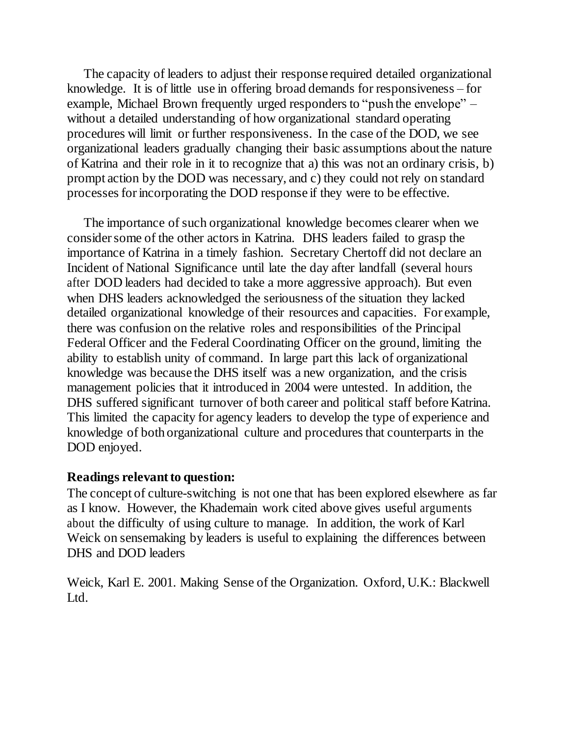The capacity of leaders to adjust their response required detailed organizational knowledge. It is of little use in offering broad demands for responsiveness – for example, Michael Brown frequently urged responders to "push the envelope" – without a detailed understanding of how organizational standard operating procedures will limit or further responsiveness. In the case of the DOD, we see organizational leaders gradually changing their basic assumptions about the nature of Katrina and their role in it to recognize that a) this was not an ordinary crisis, b) prompt action by the DOD was necessary, and c) they could not rely on standard processes for incorporating the DOD response if they were to be effective.

The importance of such organizational knowledge becomes clearer when we consider some of the other actors in Katrina. DHS leaders failed to grasp the importance of Katrina in a timely fashion. Secretary Chertoff did not declare an Incident of National Significance until late the day after landfall (several hours after DOD leaders had decided to take a more aggressive approach). But even when DHS leaders acknowledged the seriousness of the situation they lacked detailed organizational knowledge of their resources and capacities. For example, there was confusion on the relative roles and responsibilities of the Principal Federal Officer and the Federal Coordinating Officer on the ground, limiting the ability to establish unity of command. In large part this lack of organizational knowledge was because the DHS itself was a new organization, and the crisis management policies that it introduced in 2004 were untested. In addition, the DHS suffered significant turnover of both career and political staff before Katrina. This limited the capacity for agency leaders to develop the type of experience and knowledge of both organizational culture and procedures that counterparts in the DOD enjoyed.

#### **Readings relevant to question:**

The concept of culture-switching is not one that has been explored elsewhere as far as I know. However, the Khademain work cited above gives useful arguments about the difficulty of using culture to manage. In addition, the work of Karl Weick on sensemaking by leaders is useful to explaining the differences between DHS and DOD leaders

Weick, Karl E. 2001. Making Sense of the Organization. Oxford, U.K.: Blackwell Ltd.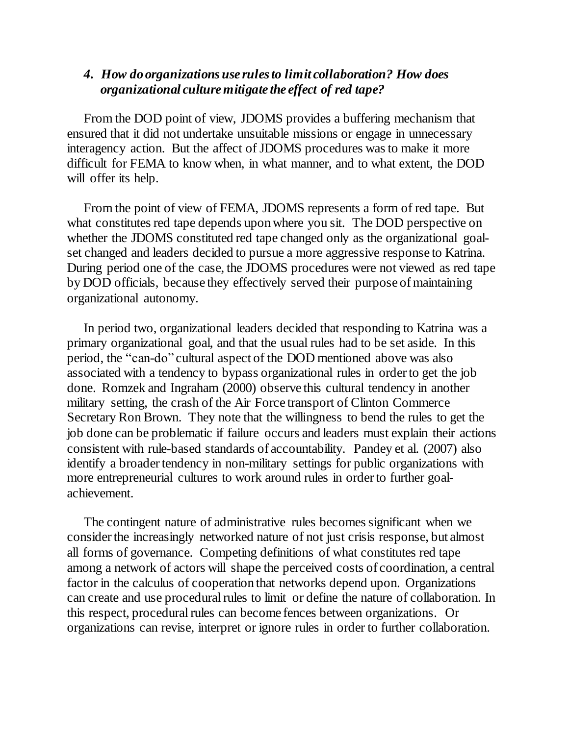#### *4. How do organizations use rules to limit collaboration? How does organizational culture mitigate the effect of red tape?*

From the DOD point of view, JDOMS provides a buffering mechanism that ensured that it did not undertake unsuitable missions or engage in unnecessary interagency action. But the affect of JDOMS procedures was to make it more difficult for FEMA to know when, in what manner, and to what extent, the DOD will offer its help.

From the point of view of FEMA, JDOMS represents a form of red tape. But what constitutes red tape depends upon where you sit. The DOD perspective on whether the JDOMS constituted red tape changed only as the organizational goalset changed and leaders decided to pursue a more aggressive response to Katrina. During period one of the case, the JDOMS procedures were not viewed as red tape by DOD officials, because they effectively served their purpose of maintaining organizational autonomy.

In period two, organizational leaders decided that responding to Katrina was a primary organizational goal, and that the usual rules had to be set aside. In this period, the "can-do" cultural aspect of the DOD mentioned above was also associated with a tendency to bypass organizational rules in order to get the job done. Romzek and Ingraham (2000) observe this cultural tendency in another military setting, the crash of the Air Force transport of Clinton Commerce Secretary Ron Brown. They note that the willingness to bend the rules to get the job done can be problematic if failure occurs and leaders must explain their actions consistent with rule-based standards of accountability. Pandey et al. (2007) also identify a broader tendency in non-military settings for public organizations with more entrepreneurial cultures to work around rules in order to further goalachievement.

The contingent nature of administrative rules becomes significant when we consider the increasingly networked nature of not just crisis response, but almost all forms of governance. Competing definitions of what constitutes red tape among a network of actors will shape the perceived costs of coordination, a central factor in the calculus of cooperation that networks depend upon. Organizations can create and use procedural rules to limit or define the nature of collaboration. In this respect, procedural rules can become fences between organizations. Or organizations can revise, interpret or ignore rules in order to further collaboration.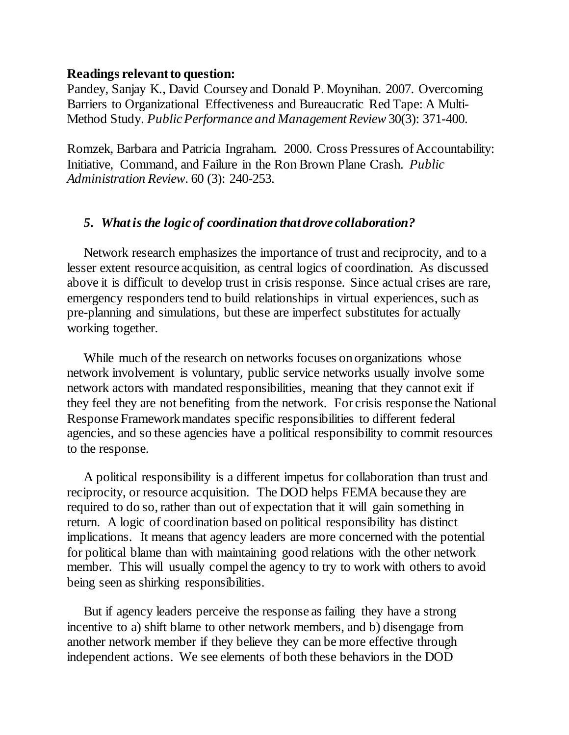#### **Readings relevant to question:**

Pandey, Sanjay K., David Coursey and Donald P. Moynihan. 2007. Overcoming Barriers to Organizational Effectiveness and Bureaucratic Red Tape: A Multi-Method Study. *Public Performance and Management Review* 30(3): 371-400.

Romzek, Barbara and Patricia Ingraham. 2000. Cross Pressures of Accountability: Initiative, Command, and Failure in the Ron Brown Plane Crash. *Public Administration Review.* 60 (3): 240-253.

#### *5. What is the logic of coordination that drove collaboration?*

Network research emphasizes the importance of trust and reciprocity, and to a lesser extent resource acquisition, as central logics of coordination. As discussed above it is difficult to develop trust in crisis response. Since actual crises are rare, emergency responders tend to build relationships in virtual experiences, such as pre-planning and simulations, but these are imperfect substitutes for actually working together.

While much of the research on networks focuses on organizations whose network involvement is voluntary, public service networks usually involve some network actors with mandated responsibilities, meaning that they cannot exit if they feel they are not benefiting from the network. For crisis response the National Response Framework mandates specific responsibilities to different federal agencies, and so these agencies have a political responsibility to commit resources to the response.

A political responsibility is a different impetus for collaboration than trust and reciprocity, or resource acquisition. The DOD helps FEMA because they are required to do so, rather than out of expectation that it will gain something in return. A logic of coordination based on political responsibility has distinct implications. It means that agency leaders are more concerned with the potential for political blame than with maintaining good relations with the other network member. This will usually compel the agency to try to work with others to avoid being seen as shirking responsibilities.

But if agency leaders perceive the response as failing they have a strong incentive to a) shift blame to other network members, and b) disengage from another network member if they believe they can be more effective through independent actions. We see elements of both these behaviors in the DOD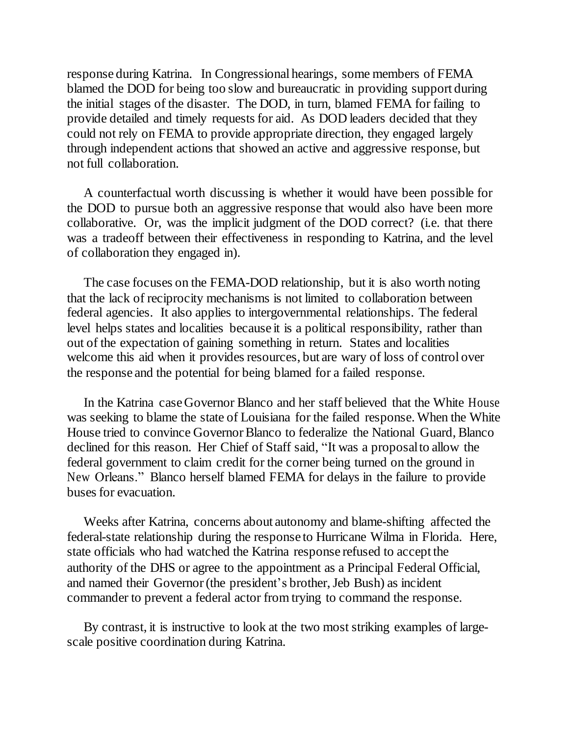response during Katrina. In Congressional hearings, some members of FEMA blamed the DOD for being too slow and bureaucratic in providing support during the initial stages of the disaster. The DOD, in turn, blamed FEMA for failing to provide detailed and timely requests for aid. As DOD leaders decided that they could not rely on FEMA to provide appropriate direction, they engaged largely through independent actions that showed an active and aggressive response, but not full collaboration.

A counterfactual worth discussing is whether it would have been possible for the DOD to pursue both an aggressive response that would also have been more collaborative. Or, was the implicit judgment of the DOD correct? (i.e. that there was a tradeoff between their effectiveness in responding to Katrina, and the level of collaboration they engaged in).

The case focuses on the FEMA-DOD relationship, but it is also worth noting that the lack of reciprocity mechanisms is not limited to collaboration between federal agencies. It also applies to intergovernmental relationships. The federal level helps states and localities because it is a political responsibility, rather than out of the expectation of gaining something in return. States and localities welcome this aid when it provides resources, but are wary of loss of control over the response and the potential for being blamed for a failed response.

In the Katrina case Governor Blanco and her staff believed that the White House was seeking to blame the state of Louisiana for the failed response. When the White House tried to convince Governor Blanco to federalize the National Guard, Blanco declined for this reason. Her Chief of Staff said, "It was a proposal to allow the federal government to claim credit for the corner being turned on the ground in New Orleans." Blanco herself blamed FEMA for delays in the failure to provide buses for evacuation.

Weeks after Katrina, concerns about autonomy and blame-shifting affected the federal-state relationship during the response to Hurricane Wilma in Florida. Here, state officials who had watched the Katrina response refused to accept the authority of the DHS or agree to the appointment as a Principal Federal Official, and named their Governor (the president"s brother, Jeb Bush) as incident commander to prevent a federal actor from trying to command the response.

By contrast, it is instructive to look at the two most striking examples of largescale positive coordination during Katrina.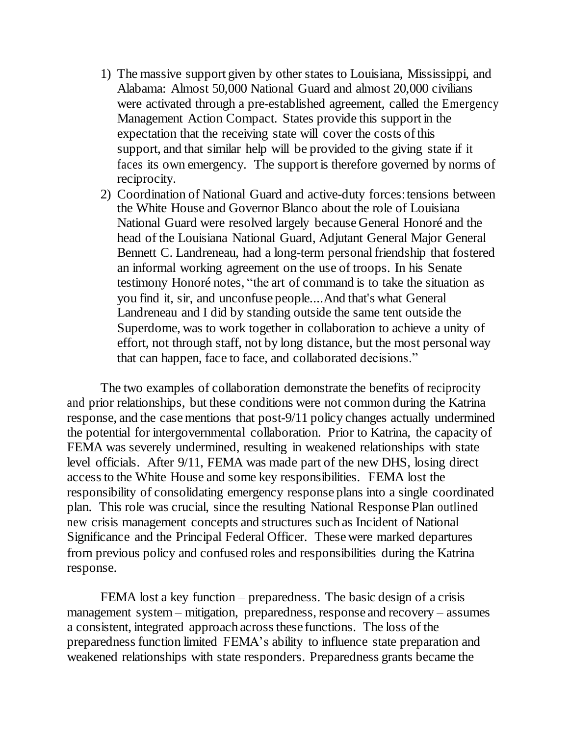- 1) The massive support given by other states to Louisiana, Mississippi, and Alabama: Almost 50,000 National Guard and almost 20,000 civilians were activated through a pre-established agreement, called the Emergency Management Action Compact. States provide this support in the expectation that the receiving state will cover the costs of this support, and that similar help will be provided to the giving state if it faces its own emergency. The support is therefore governed by norms of reciprocity.
- 2) Coordination of National Guard and active-duty forces: tensions between the White House and Governor Blanco about the role of Louisiana National Guard were resolved largely because General Honoré and the head of the Louisiana National Guard, Adjutant General Major General Bennett C. Landreneau, had a long-term personal friendship that fostered an informal working agreement on the use of troops. In his Senate testimony Honoré notes, "the art of command is to take the situation as you find it, sir, and unconfuse people....And that's what General Landreneau and I did by standing outside the same tent outside the Superdome, was to work together in collaboration to achieve a unity of effort, not through staff, not by long distance, but the most personal way that can happen, face to face, and collaborated decisions."

The two examples of collaboration demonstrate the benefits of reciprocity and prior relationships, but these conditions were not common during the Katrina response, and the case mentions that post-9/11 policy changes actually undermined the potential for intergovernmental collaboration. Prior to Katrina, the capacity of FEMA was severely undermined, resulting in weakened relationships with state level officials. After 9/11, FEMA was made part of the new DHS, losing direct access to the White House and some key responsibilities. FEMA lost the responsibility of consolidating emergency response plans into a single coordinated plan. This role was crucial, since the resulting National Response Plan outlined new crisis management concepts and structures such as Incident of National Significance and the Principal Federal Officer. These were marked departures from previous policy and confused roles and responsibilities during the Katrina response.

FEMA lost a key function – preparedness. The basic design of a crisis management system – mitigation, preparedness, response and recovery – assumes a consistent, integrated approach across these functions. The loss of the preparedness function limited FEMA"s ability to influence state preparation and weakened relationships with state responders. Preparedness grants became the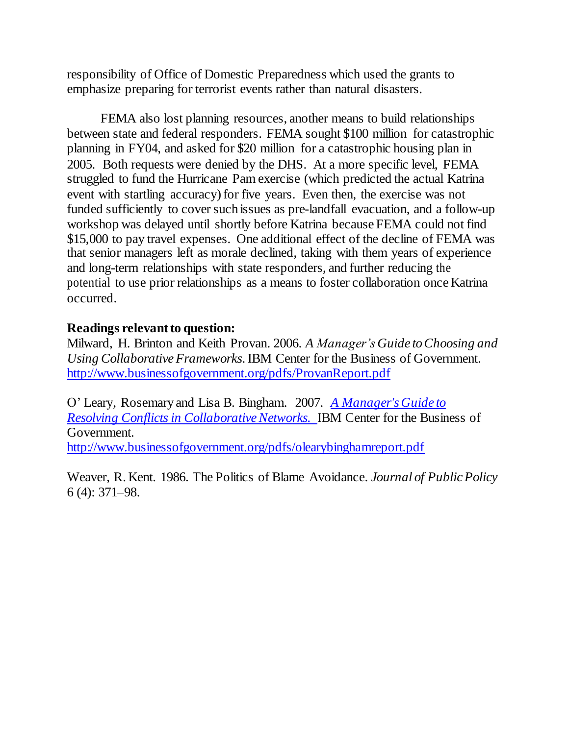responsibility of Office of Domestic Preparedness which used the grants to emphasize preparing for terrorist events rather than natural disasters.

FEMA also lost planning resources, another means to build relationships between state and federal responders. FEMA sought \$100 million for catastrophic planning in FY04, and asked for \$20 million for a catastrophic housing plan in 2005. Both requests were denied by the DHS. At a more specific level, FEMA struggled to fund the Hurricane Pam exercise (which predicted the actual Katrina event with startling accuracy) for five years. Even then, the exercise was not funded sufficiently to cover such issues as pre-landfall evacuation, and a follow-up workshop was delayed until shortly before Katrina because FEMA could not find \$15,000 to pay travel expenses. One additional effect of the decline of FEMA was that senior managers left as morale declined, taking with them years of experience and long-term relationships with state responders, and further reducing the potential to use prior relationships as a means to foster collaboration once Katrina occurred.

### **Readings relevant to question:**

Milward, H. Brinton and Keith Provan. 2006. *A Manager's Guide to Choosing and Using Collaborative Frameworks*. IBM Center for the Business of Government. <http://www.businessofgovernment.org/pdfs/ProvanReport.pdf>

O" Leary, Rosemary and Lisa B. Bingham. 2007. *A Manager's Guide to Resolving Conflicts in Collaborative Networks.* IBM Center for the Business of Government. <http://www.businessofgovernment.org/pdfs/olearybinghamreport.pdf>

Weaver, R. Kent. 1986. The Politics of Blame Avoidance. *Journal of Public Policy* 6 (4): 371–98.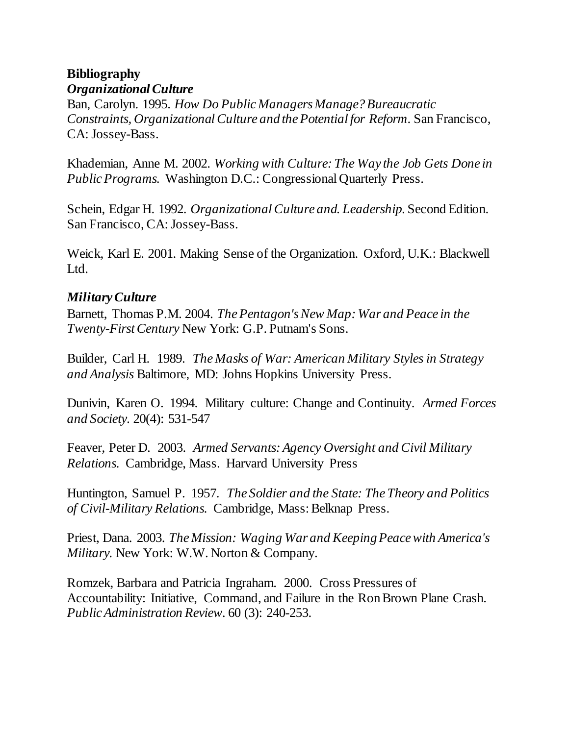# **Bibliography** *Organizational Culture*

Ban, Carolyn. 1995. *How Do Public Managers Manage? Bureaucratic Constraints, Organizational Culture and the Potential for Reform*. San Francisco, CA: Jossey-Bass.

Khademian, Anne M. 2002. *Working with Culture: The Way the Job Gets Done in Public Programs.* Washington D.C.: Congressional Quarterly Press.

Schein, Edgar H. 1992. *Organizational Culture and. Leadership*. Second Edition. San Francisco, CA: Jossey-Bass.

Weick, Karl E. 2001. Making Sense of the Organization. Oxford, U.K.: Blackwell Ltd.

# *Military Culture*

Barnett, Thomas P.M. 2004. *The Pentagon's New Map: War and Peace in the Twenty-First Century* New York: G.P. Putnam's Sons.

Builder, Carl H. 1989. *The Masks of War: American Military Styles in Strategy and Analysis* Baltimore, MD: Johns Hopkins University Press.

Dunivin, Karen O. 1994. Military culture: Change and Continuity. *Armed Forces and Society.* 20(4): 531-547

Feaver, Peter D. 2003. *Armed Servants: Agency Oversight and Civil Military Relations.* Cambridge, Mass. Harvard University Press

Huntington, Samuel P. 1957. *The Soldier and the State: The Theory and Politics of Civil-Military Relations.* Cambridge, Mass: Belknap Press.

Priest, Dana. 2003. *The Mission: Waging War and Keeping Peace with America's Military.* New York: W.W. Norton & Company.

Romzek, Barbara and Patricia Ingraham. 2000. Cross Pressures of Accountability: Initiative, Command, and Failure in the Ron Brown Plane Crash. *Public Administration Review.* 60 (3): 240-253.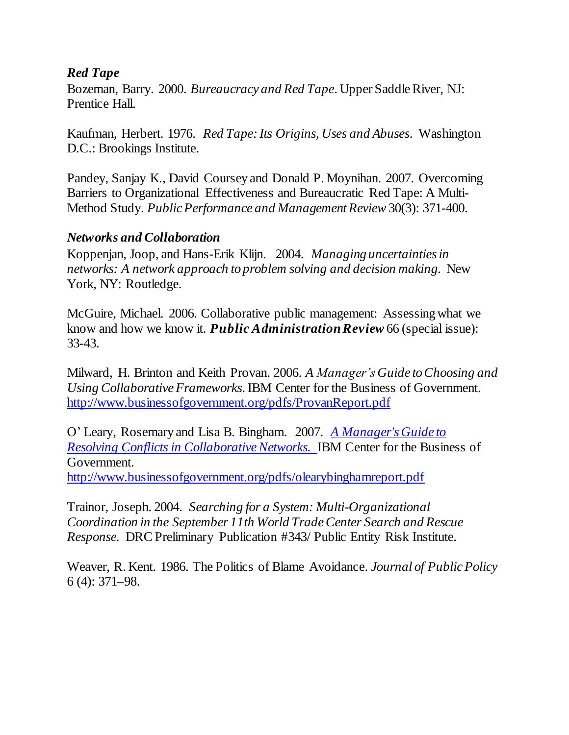# *Red Tape*

Bozeman, Barry. 2000. *Bureaucracy and Red Tape*. Upper Saddle River, NJ: Prentice Hall.

Kaufman, Herbert. 1976. *Red Tape: Its Origins, Uses and Abuses*. Washington D.C.: Brookings Institute.

Pandey, Sanjay K., David Coursey and Donald P. Moynihan. 2007. Overcoming Barriers to Organizational Effectiveness and Bureaucratic Red Tape: A Multi-Method Study. *Public Performance and Management Review* 30(3): 371-400.

# *Networks and Collaboration*

Koppenjan, Joop, and Hans-Erik Klijn. 2004. *Managing uncertainties in networks: A network approach to problem solving and decision making.* New York, NY: Routledge.

McGuire, Michael. 2006. Collaborative public management: Assessing what we know and how we know it. *Public Administration Review* 66 (special issue): 33-43.

Milward, H. Brinton and Keith Provan. 2006. *A Manager's Guide to Choosing and Using Collaborative Frameworks*. IBM Center for the Business of Government. <http://www.businessofgovernment.org/pdfs/ProvanReport.pdf>

O" Leary, Rosemary and Lisa B. Bingham. 2007. *A Manager's Guide to Resolving Conflicts in Collaborative Networks.* IBM Center for the Business of Government.

<http://www.businessofgovernment.org/pdfs/olearybinghamreport.pdf>

Trainor, Joseph. 2004. *Searching for a System: Multi-Organizational Coordination in the September 11th World Trade Center Search and Rescue Response.* DRC Preliminary Publication #343/ Public Entity Risk Institute.

Weaver, R. Kent. 1986. The Politics of Blame Avoidance. *Journal of Public Policy* 6 (4): 371–98.